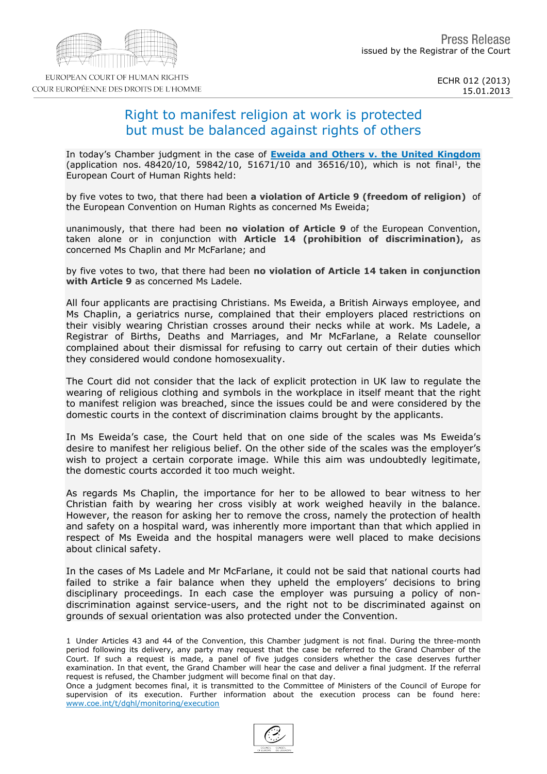# Right to manifest religion at work is protected but must be balanced against rights of others

In today's Chamber judgment in the case of [Eweida](http://hudoc.echr.coe.int/sites/fra/pages/search.aspx?i=001-115881) [and](http://hudoc.echr.coe.int/sites/fra/pages/search.aspx?i=001-115881) [Others](http://hudoc.echr.coe.int/sites/fra/pages/search.aspx?i=001-115881) [v.](http://hudoc.echr.coe.int/sites/fra/pages/search.aspx?i=001-115881) [the](http://hudoc.echr.coe.int/sites/fra/pages/search.aspx?i=001-115881) [United](http://hudoc.echr.coe.int/sites/fra/pages/search.aspx?i=001-115881) [Kingdom](http://hudoc.echr.coe.int/sites/fra/pages/search.aspx?i=001-115881) (application nos. 48420/10, 59842/10, 51671/10 and 36516/10), which is not final 1, the European Court of Human Rights held:

by five votes to two, that there had been a violation of Article 9 (freedom of religion) of the European Convention on Human Rights as concerned Ms Eweida:

unanimously, that there had been no violation of Article 9 of the European Convention, taken alone or in conjunction with Article 14 (prohibition of discrimination), as concerned Ms Chaplin and Mr McFarlane; and

by five votes to two, that there had been no violation of Article 14 taken in conjunction with Article 9 as concerned Ms Ladele.

All four applicants are practising Christians. Ms Eweida, a British Airways employee, and Ms Chaplin, a geriatrics nurse, complained that their employers placed restrictions on their visibly wearing Christian crosses around their necks while at work. Ms Ladele, a Registrar of Births, Deaths and Marriages, and Mr McFarlane, a Relate counsellor complained about their dismissal for refusing to carry out certain of their duties which they considered would condone homosexuality.

The Court did not consider that the lack of explicit protection in UK law to regulate the wearing of religious clothing and symbols in the workplace in itself meant that the right to manifest religion was breached, since the issues could be and were considered by the domestic courts in the context of discrimination claims brought by the applicants.

In Ms Eweida's case, the Court held that on one side of the scales was Ms Eweida's desire to manifest her religious belief. On the other side of the scales was the employer's wish to project a certain corporate image. While this aim was undoubtedly legitimate, the domestic courts accorded it too much weight.

As regards Ms Chaplin, the importance for her to be allowed to bear witness to her Christian faith by wearing her cross visibly at work weighed heavily in the balance. However, the reason for asking her to remove the cross, namely the protection of health and safety on a hospital ward, was inherently more important than that which applied in respect of Ms Eweida and the hospital managers were well placed to make decisions about clinical safety.

In the cases of Ms Ladele and Mr McFarlane, it could not be said that national courts had failed to strike a fair balance when they upheld the employers' decisions to bring disciplinary proceedings. In each case the employer was pursuing a policy of nondiscrimination against service-users, and the right not to be discriminated against on grounds of sexual orientation was also protected under the Convention.

1 Under Articles 43 and 44 of the Convention, this Chamber judgment is not final. During the three-month period following its delivery, any party may request that the case be referred to the Grand Chamber of the Court. If such a request is made, a panel of five judges considers whether the case deserves further examination. In that event, the Grand Chamber will hear the case and deliver a final judgment. If the referral request is refused, the Chamber judgment will become final on that day.

Once a judgment becomes final, it is transmitted to the Committee of Ministers of the Council of Europe for supervision of its execution. Further information about the execution process can be found here: [www.coe.int/t/dghl/monitoring/execution](http://www.coe.int/t/dghl/monitoring/execution)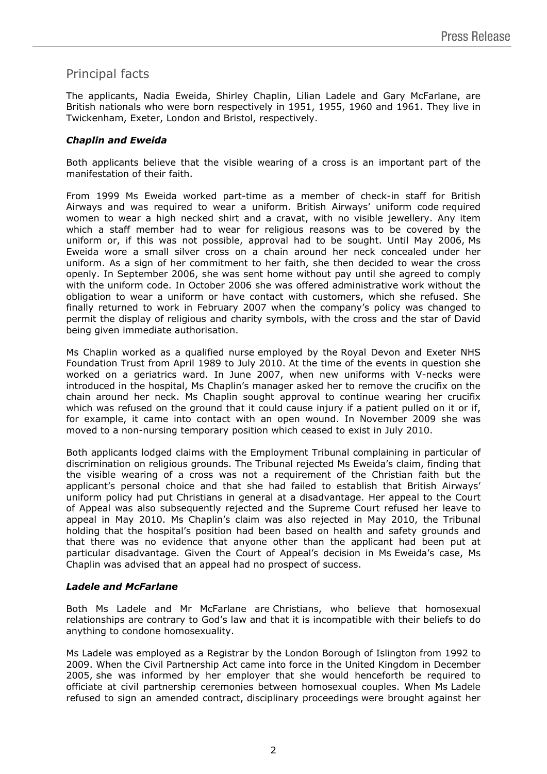## Principal facts

The applicants, Nadia Eweida, Shirley Chaplin, Lilian Ladele and Gary McFarlane, are British nationals who were born respectively in 1951, 1955, 1960 and 1961. They live in Twickenham, Exeter, London and Bristol, respectively.

### *Chaplin and Eweida*

Both applicants believe that the visible wearing of a cross is an important part of the manifestation of their faith.

From 1999 Ms Eweida worked part-time as a member of check-in staff for British Airways and was required to wear a uniform. British Airways' uniform code required women to wear a high necked shirt and a cravat, with no visible jewellery. Any item which a staff member had to wear for religious reasons was to be covered by the uniform or, if this was not possible, approval had to be sought. Until May 2006, Ms Eweida wore a small silver cross on a chain around her neck concealed under her uniform. As a sign of her commitment to her faith, she then decided to wear the cross openly. In September 2006, she was sent home without pay until she agreed to comply with the uniform code. In October 2006 she was offered administrative work without the obligation to wear a uniform or have contact with customers, which she refused. She finally returned to work in February 2007 when the company's policy was changed to permit the display of religious and charity symbols, with the cross and the star of David being given immediate authorisation.

Ms Chaplin worked as a qualified nurse employed by the Royal Devon and Exeter NHS Foundation Trust from April 1989 to July 2010. At the time of the events in question she worked on a geriatrics ward. In June 2007, when new uniforms with V-necks were introduced in the hospital, Ms Chaplin's manager asked her to remove the crucifix on the chain around her neck. Ms Chaplin sought approval to continue wearing her crucifix which was refused on the ground that it could cause injury if a patient pulled on it or if, for example, it came into contact with an open wound. In November 2009 she was moved to a non-nursing temporary position which ceased to exist in July 2010.

Both applicants lodged claims with the Employment Tribunal complaining in particular of discrimination on religious grounds. The Tribunal rejected Ms Eweida's claim, finding that the visible wearing of a cross was not a requirement of the Christian faith but the applicant's personal choice and that she had failed to establish that British Airways' uniform policy had put Christians in general at a disadvantage. Her appeal to the Court of Appeal was also subsequently rejected and the Supreme Court refused her leave to appeal in May 2010. Ms Chaplin's claim was also rejected in May 2010, the Tribunal holding that the hospital's position had been based on health and safety grounds and that there was no evidence that anyone other than the applicant had been put at particular disadvantage. Given the Court of Appeal's decision in Ms Eweida's case, Ms Chaplin was advised that an appeal had no prospect of success.

### *Ladele and McFarlane*

Both Ms Ladele and Mr McFarlane are Christians, who believe that homosexual relationships are contrary to God's law and that it is incompatible with their beliefs to do anything to condone homosexuality.

Ms Ladele was employed as a Registrar by the London Borough of Islington from 1992 to 2009. When the Civil Partnership Act came into force in the United Kingdom in December 2005, she was informed by her employer that she would henceforth be required to officiate at civil partnership ceremonies between homosexual couples. When Ms Ladele refused to sign an amended contract, disciplinary proceedings were brought against her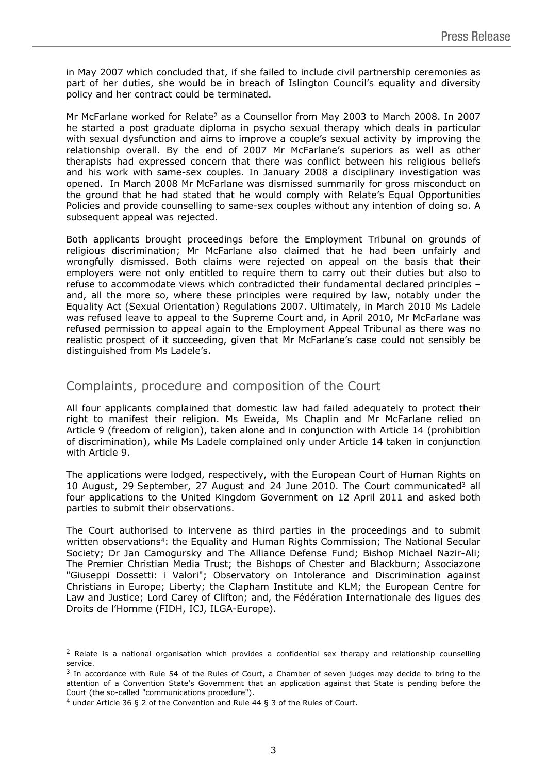in May 2007 which concluded that, if she failed to include civil partnership ceremonies as part of her duties, she would be in breach of Islington Council's equality and diversity policy and her contract could be terminated.

Mr McFarlane worked for Relate<sup>2</sup> as a Counsellor from May 2003 to March 2008. In 2007 he started a post graduate diploma in psycho sexual therapy which deals in particular with sexual dysfunction and aims to improve a couple's sexual activity by improving the relationship overall. By the end of 2007 Mr McFarlane's superiors as well as other therapists had expressed concern that there was conflict between his religious beliefs and his work with same-sex couples. In January 2008 a disciplinary investigation was opened. In March 2008 Mr McFarlane was dismissed summarily for gross misconduct on the ground that he had stated that he would comply with Relate's Equal Opportunities Policies and provide counselling to same-sex couples without any intention of doing so. A subsequent appeal was rejected.

Both applicants brought proceedings before the Employment Tribunal on grounds of religious discrimination; Mr McFarlane also claimed that he had been unfairly and wrongfully dismissed. Both claims were rejected on appeal on the basis that their employers were not only entitled to require them to carry out their duties but also to refuse to accommodate views which contradicted their fundamental declared principles – and, all the more so, where these principles were required by law, notably under the Equality Act (Sexual Orientation) Regulations 2007. Ultimately, in March 2010 Ms Ladele was refused leave to appeal to the Supreme Court and, in April 2010, Mr McFarlane was refused permission to appeal again to the Employment Appeal Tribunal as there was no realistic prospect of it succeeding, given that Mr McFarlane's case could not sensibly be distinguished from Ms Ladele's.

## Complaints, procedure and composition of the Court

All four applicants complained that domestic law had failed adequately to protect their right to manifest their religion. Ms Eweida, Ms Chaplin and Mr McFarlane relied on Article 9 (freedom of religion), taken alone and in conjunction with Article 14 (prohibition of discrimination), while Ms Ladele complained only under Article 14 taken in conjunction with Article 9.

The applications were lodged, respectively, with the European Court of Human Rights on 10 August, 29 September, 27 August and 24 June 2010. The Court communicated<sup>3</sup> all four applications to the United Kingdom Government on 12 April 2011 and asked both parties to submit their observations.

The Court authorised to intervene as third parties in the proceedings and to submit written observations<sup>4</sup>: the Equality and Human Rights Commission; The National Secular Society; Dr Jan Camogursky and The Alliance Defense Fund; Bishop Michael Nazir-Ali; The Premier Christian Media Trust; the Bishops of Chester and Blackburn; Associazone "Giuseppi Dossetti: i Valori"; Observatory on Intolerance and Discrimination against Christians in Europe; Liberty; the Clapham Institute and KLM; the European Centre for Law and Justice; Lord Carey of Clifton; and, the Fédération Internationale des ligues des Droits de l'Homme (FIDH, ICJ, ILGA-Europe).

<sup>&</sup>lt;sup>2</sup> Relate is a national organisation which provides a confidential sex therapy and relationship counselling service.

 $3$  In accordance with Rule 54 of the Rules of Court, a Chamber of seven judges may decide to bring to the attention of a Convention State's Government that an application against that State is pending before the Court (the so-called "communications procedure").

<sup>4</sup> under Article 36 § 2 of the Convention and Rule 44 § 3 of the Rules of Court.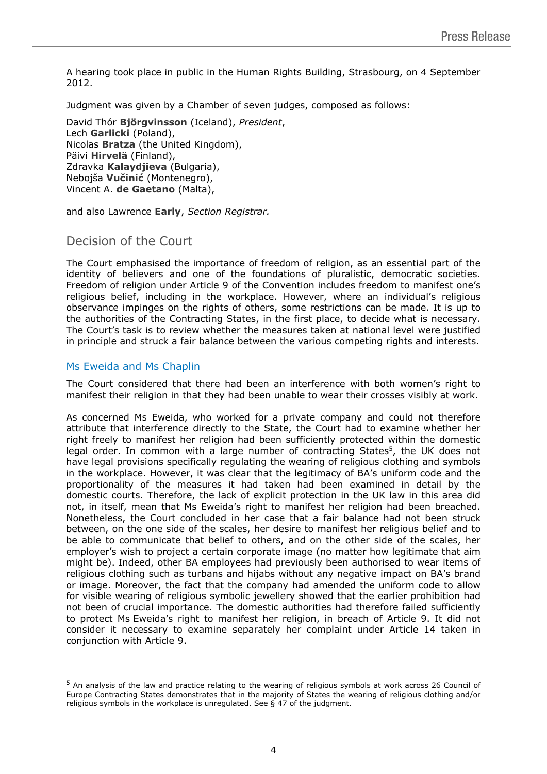A hearing took place in public in the Human Rights Building, Strasbourg, on 4 September 2012.

Judgment was given by a Chamber of seven judges, composed as follows:

David Thór **Björgvinsson** (Iceland), *President*, Lech **Garlicki** (Poland), Nicolas **Bratza** (the United Kingdom), Päivi **Hirvelä** (Finland), Zdravka **Kalaydjieva** (Bulgaria), Nebojša **Vučinić** (Montenegro), Vincent A. **de Gaetano** (Malta),

and also Lawrence **Early**, *Section Registrar.*

## Decision of the Court

The Court emphasised the importance of freedom of religion, as an essential part of the identity of believers and one of the foundations of pluralistic, democratic societies. Freedom of religion under Article 9 of the Convention includes freedom to manifest one's religious belief, including in the workplace. However, where an individual's religious observance impinges on the rights of others, some restrictions can be made. It is up to the authorities of the Contracting States, in the first place, to decide what is necessary. The Court's task is to review whether the measures taken at national level were justified in principle and struck a fair balance between the various competing rights and interests.

## Ms Eweida and Ms Chaplin

The Court considered that there had been an interference with both women's right to manifest their religion in that they had been unable to wear their crosses visibly at work.

As concerned Ms Eweida, who worked for a private company and could not therefore attribute that interference directly to the State, the Court had to examine whether her right freely to manifest her religion had been sufficiently protected within the domestic legal order. In common with a large number of contracting States<sup>5</sup>, the UK does not have legal provisions specifically regulating the wearing of religious clothing and symbols in the workplace. However, it was clear that the legitimacy of BA's uniform code and the proportionality of the measures it had taken had been examined in detail by the domestic courts. Therefore, the lack of explicit protection in the UK law in this area did not, in itself, mean that Ms Eweida's right to manifest her religion had been breached. Nonetheless, the Court concluded in her case that a fair balance had not been struck between, on the one side of the scales, her desire to manifest her religious belief and to be able to communicate that belief to others, and on the other side of the scales, her employer's wish to project a certain corporate image (no matter how legitimate that aim might be). Indeed, other BA employees had previously been authorised to wear items of religious clothing such as turbans and hijabs without any negative impact on BA's brand or image. Moreover, the fact that the company had amended the uniform code to allow for visible wearing of religious symbolic jewellery showed that the earlier prohibition had not been of crucial importance. The domestic authorities had therefore failed sufficiently to protect Ms Eweida's right to manifest her religion, in breach of Article 9. It did not consider it necessary to examine separately her complaint under Article 14 taken in conjunction with Article 9.

<sup>5</sup> An analysis of the law and practice relating to the wearing of religious symbols at work across 26 Council of Europe Contracting States demonstrates that in the majority of States the wearing of religious clothing and/or religious symbols in the workplace is unregulated. See § 47 of the judgment.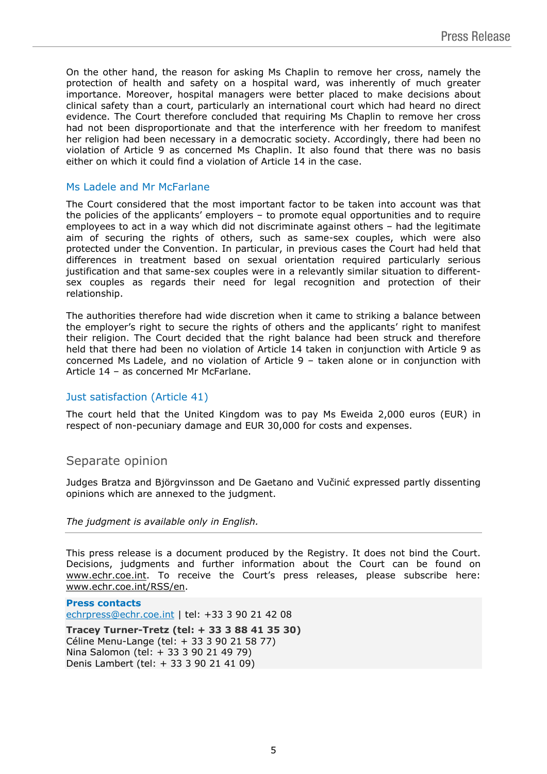On the other hand, the reason for asking Ms Chaplin to remove her cross, namely the protection of health and safety on a hospital ward, was inherently of much greater importance. Moreover, hospital managers were better placed to make decisions about clinical safety than a court, particularly an international court which had heard no direct evidence. The Court therefore concluded that requiring Ms Chaplin to remove her cross had not been disproportionate and that the interference with her freedom to manifest her religion had been necessary in a democratic society. Accordingly, there had been no violation of Article 9 as concerned Ms Chaplin. It also found that there was no basis either on which it could find a violation of Article 14 in the case.

#### Ms Ladele and Mr McFarlane

The Court considered that the most important factor to be taken into account was that the policies of the applicants' employers – to promote equal opportunities and to require employees to act in a way which did not discriminate against others – had the legitimate aim of securing the rights of others, such as same-sex couples, which were also protected under the Convention. In particular, in previous cases the Court had held that differences in treatment based on sexual orientation required particularly serious justification and that same-sex couples were in a relevantly similar situation to differentsex couples as regards their need for legal recognition and protection of their relationship.

The authorities therefore had wide discretion when it came to striking a balance between the employer's right to secure the rights of others and the applicants' right to manifest their religion. The Court decided that the right balance had been struck and therefore held that there had been no violation of Article 14 taken in conjunction with Article 9 as concerned Ms Ladele, and no violation of Article 9 – taken alone or in conjunction with Article 14 – as concerned Mr McFarlane.

#### Just satisfaction (Article 41)

The court held that the United Kingdom was to pay Ms Eweida 2,000 euros (EUR) in respect of non-pecuniary damage and EUR 30,000 for costs and expenses.

### Separate opinion

Judges Bratza and Björgvinsson and De Gaetano and C O expressed partly dissenting opinions which are annexed to the judgment.

The judgment is available only in English.

This press release is a document produced by the Registry. It does not bind the Court. Decisions, judgments and further information about the Court can be found on www.echr.coe.int. To receive the Court's press releases, please subscribe here: www.echr.coe.int/RSS/en.

Press contacts [echrpress@echr.coe.int](mailto:Echrpress@echr.coe.int) | tel: +33 3 90 21 42 08 Tracey Turner-Tretz (tel: + 33 388 41 35 30) Céline Menu-Lange (tel: + 33 3 90 21 58 77) Nina Salomon (tel: + 33 3 90 21 49 79) Denis Lambert (tel: + 33 3 90 21 41 09)